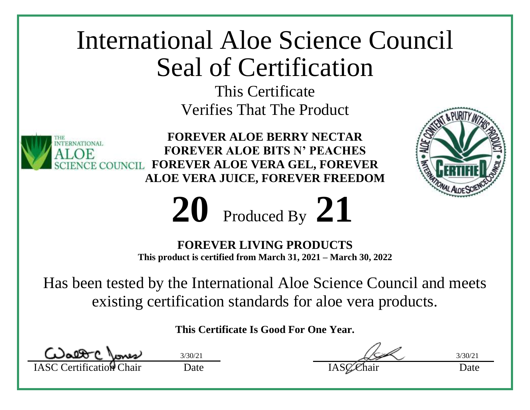This Certificate Verifies That The Product



**FOREVER ALOE BERRY NECTAR FOREVER ALOE BITS N' PEACHES FOREVER ALOE VERA GEL, FOREVER ALOE VERA JUICE, FOREVER FREEDOM**





**FOREVER LIVING PRODUCTS**

**This product is certified from March 31, 2021 – March 30, 2022**

Has been tested by the International Aloe Science Council and meets existing certification standards for aloe vera products.

Walter mass

IASC Certification Chair Date Date IASC Chair Date  $3/30/21$  3/30/21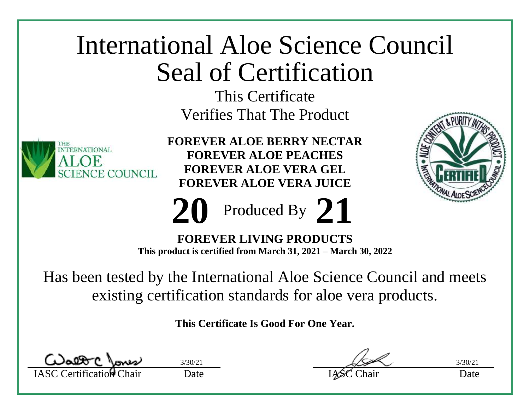This Certificate Verifies That The Product



**FOREVER ALOE BERRY NECTAR FOREVER ALOE PEACHES FOREVER ALOE VERA GEL FOREVER ALOE VERA JUICE**





**FOREVER LIVING PRODUCTS This product is certified from March 31, 2021 – March 30, 2022**

Has been tested by the International Aloe Science Council and meets existing certification standards for aloe vera products.

IASC Certification Chair Date Date IASC Chair Date

 $3/30/21$  3/30/21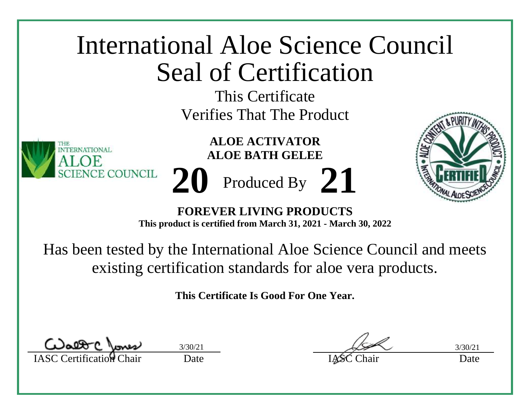This Certificate Verifies That The Product

> **ALOE ACTIVATOR ALOE BATH GELEE**

Produced By **20 21**



**FOREVER LIVING PRODUCTS This product is certified from March 31, 2021 - March 30, 2022**

Has been tested by the International Aloe Science Council and meets existing certification standards for aloe vera products.

**This Certificate Is Good For One Year.**

IASC Certification Chair Date Date IASC Chair Date

TERNATIONAL.

**NCE COUNCIL** 

 $3/30/21$   $3/30/21$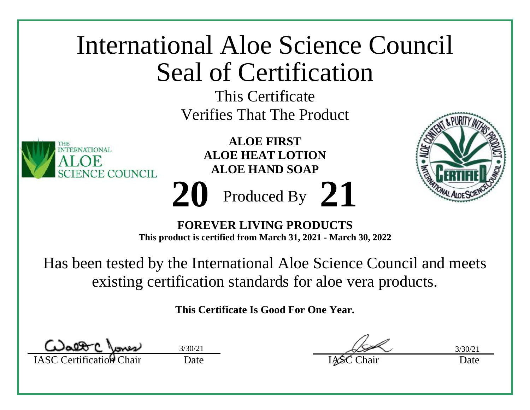

Has been tested by the International Aloe Science Council and meets existing certification standards for aloe vera products.

IASC Certification Chair Date Date IASC Chair Date  $3/30/21$   $3/30/21$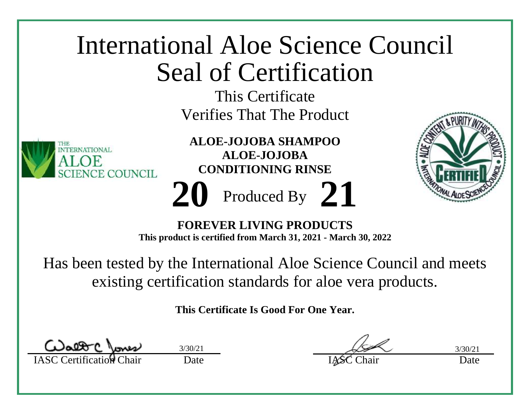

existing certification standards for aloe vera products.

IASC Certification Chair Date Date IASC Chair Date  $3/30/21$   $3/30/21$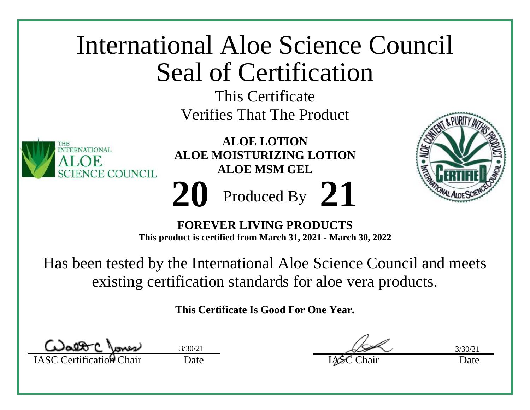

**FOREVER LIVING PRODUCTS This product is certified from March 31, 2021 - March 30, 2022**

Has been tested by the International Aloe Science Council and meets existing certification standards for aloe vera products.

IASC Certification Chair Date Date IASC Chair Date  $3/30/21$   $3/30/21$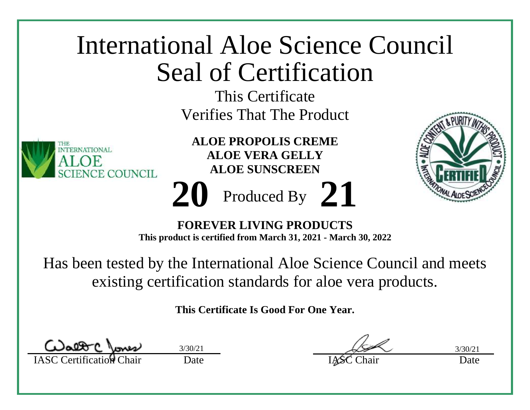

IASC Certification Chair Date Date IASC Chair Date  $3/30/21$   $3/30/21$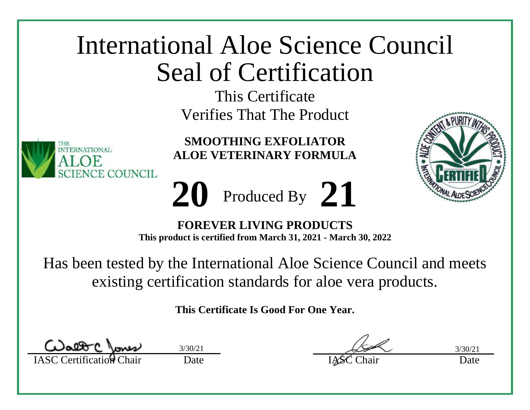This Certificate Verifies That The Product



**SMOOTHING EXFOLIATOR ALOE VETERINARY FORMULA**

Produced By **20 21**



**FOREVER LIVING PRODUCTS This product is certified from March 31, 2021 - March 30, 2022**

Has been tested by the International Aloe Science Council and meets existing certification standards for aloe vera products.

IASC Certification Chair Date Date IASC Chair Date  $3/30/21$   $3/30/21$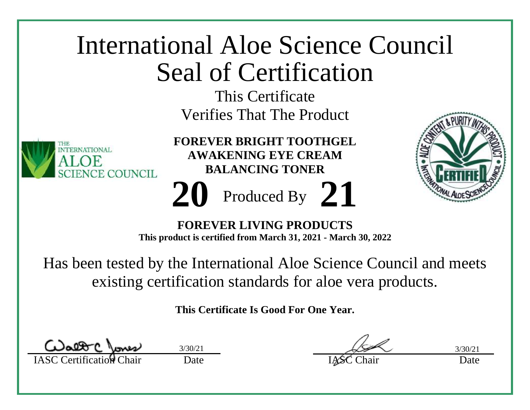

existing certification standards for aloe vera products.

IASC Certification Chair Date Date IASC Chair Date  $3/30/21$   $3/30/21$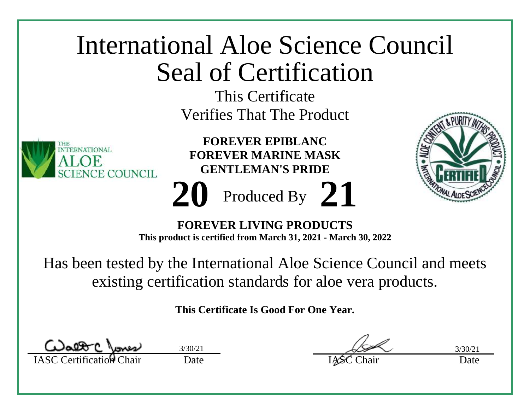

| Walt Clones                     | 3/30/21 |
|---------------------------------|---------|
| <b>IASC Certification Chair</b> | Date    |

IASC Certification Chair Date Date IASC Chair Date  $3/30/21$   $3/30/21$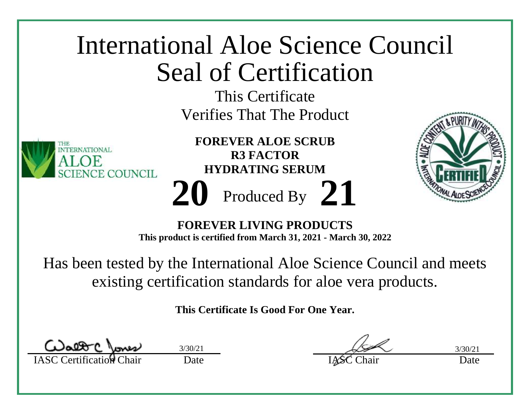

**This product is certified from March 31, 2021 - March 30, 2022**

Has been tested by the International Aloe Science Council and meets existing certification standards for aloe vera products.

IASC Certification Chair Date Date IASC Chair Date  $3/30/21$   $3/30/21$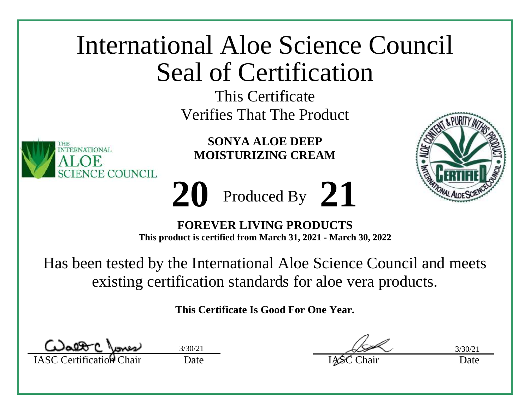This Certificate Verifies That The Product



**SONYA ALOE DEEP MOISTURIZING CREAM**





**FOREVER LIVING PRODUCTS This product is certified from March 31, 2021 - March 30, 2022**

Has been tested by the International Aloe Science Council and meets existing certification standards for aloe vera products.

IASC Certification Chair Date Date IASC Chair Date  $3/30/21$   $3/30/21$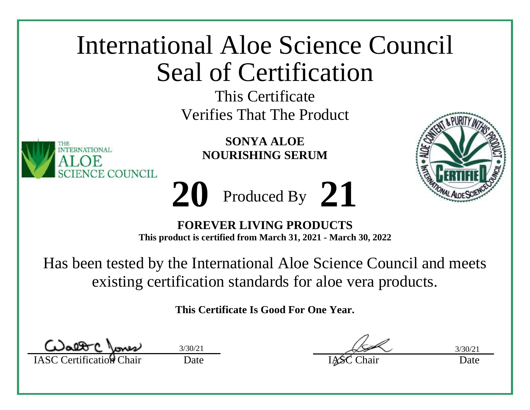This Certificate Verifies That The Product



**SONYA ALOE NOURISHING SERUM**

Produced By **20 21**



**FOREVER LIVING PRODUCTS This product is certified from March 31, 2021 - March 30, 2022**

Has been tested by the International Aloe Science Council and meets existing certification standards for aloe vera products.

IASC Certification Chair Date Date IASC Chair Date  $3/30/21$   $3/30/21$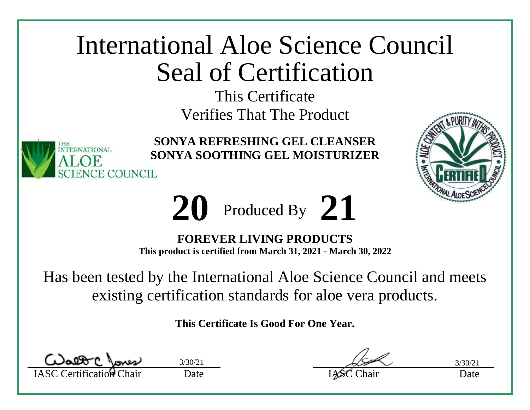This Certificate Verifies That The Product



**SONYA REFRESHING GEL CLEANSER SONYA SOOTHING GEL MOISTURIZER**





**FOREVER LIVING PRODUCTS This product is certified from March 31, 2021 - March 30, 2022**

Has been tested by the International Aloe Science Council and meets existing certification standards for aloe vera products.

IASC Certification Chair Date Date IASC Chair Date

 $3/30/21$   $3/30/21$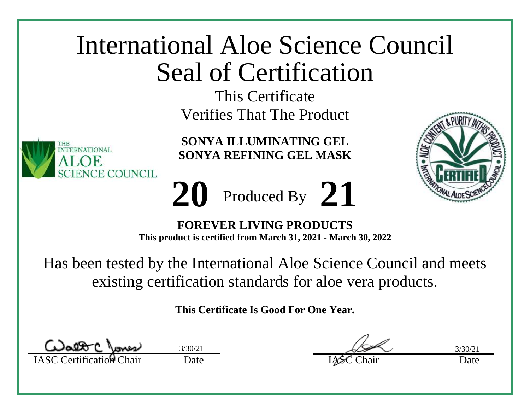This Certificate Verifies That The Product

**SONYA ILLUMINATING GEL SONYA REFINING GEL MASK**

Produced By **20 21**



**FOREVER LIVING PRODUCTS This product is certified from March 31, 2021 - March 30, 2022**

Has been tested by the International Aloe Science Council and meets existing certification standards for aloe vera products.

**This Certificate Is Good For One Year.**

TERNATIONAL.

CE COUNCIL

IASC Certification Chair Date Date IASC Chair Date  $3/30/21$   $3/30/21$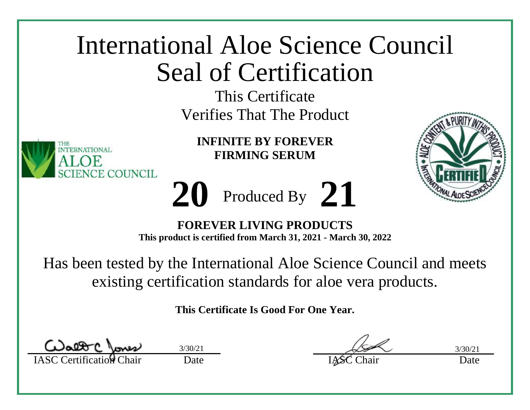This Certificate Verifies That The Product

**INFINITE BY FOREVER FIRMING SERUM**



**FOREVER LIVING PRODUCTS This product is certified from March 31, 2021 - March 30, 2022**

Produced By

**20 21**

Has been tested by the International Aloe Science Council and meets existing certification standards for aloe vera products.

**This Certificate Is Good For One Year.**

TERNATIONAL.

CE COUNCIL

IASC Certification Chair Date Date IASC Chair Date  $3/30/21$   $3/30/21$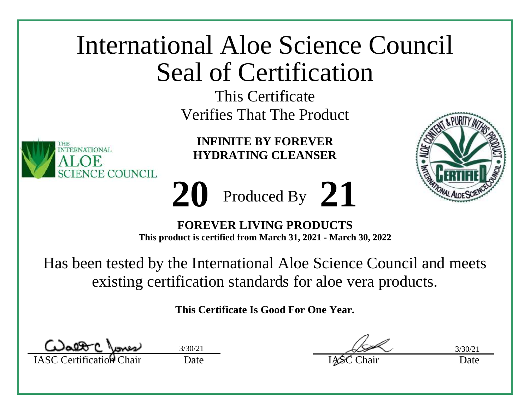This Certificate Verifies That The Product



**INFINITE BY FOREVER HYDRATING CLEANSER**

Produced By **20 21**



**FOREVER LIVING PRODUCTS This product is certified from March 31, 2021 - March 30, 2022**

Has been tested by the International Aloe Science Council and meets existing certification standards for aloe vera products.

IASC Certification Chair Date Date IASC Chair Date  $3/30/21$   $3/30/21$